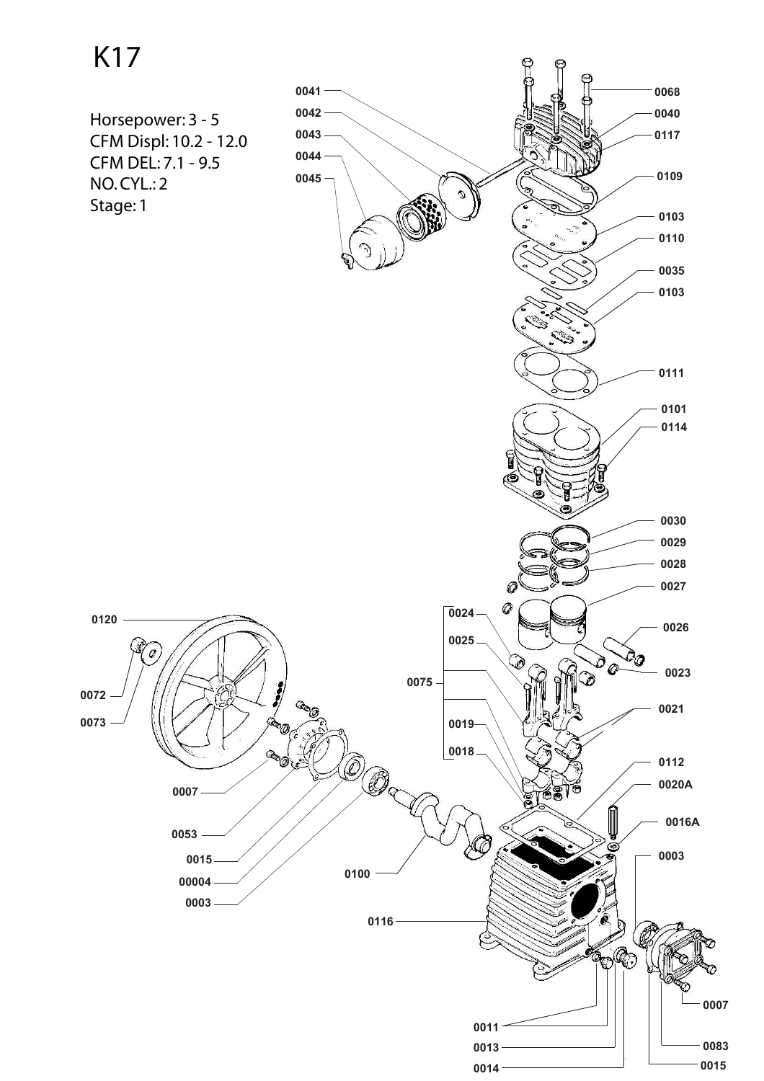K17